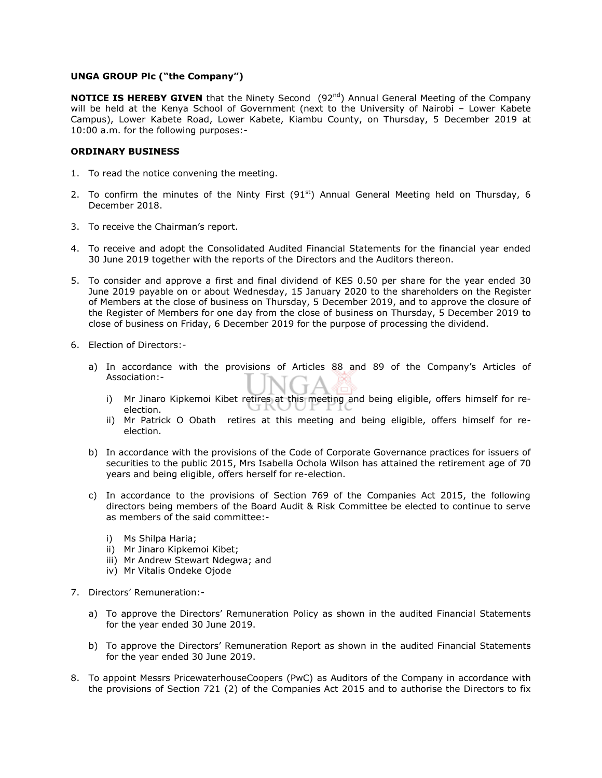### **UNGA GROUP Plc ("the Company")**

**NOTICE IS HEREBY GIVEN** that the Ninety Second (92<sup>nd</sup>) Annual General Meeting of the Company will be held at the Kenya School of Government (next to the University of Nairobi – Lower Kabete Campus), Lower Kabete Road, Lower Kabete, Kiambu County, on Thursday, 5 December 2019 at 10:00 a.m. for the following purposes:-

### **ORDINARY BUSINESS**

- 1. To read the notice convening the meeting.
- 2. To confirm the minutes of the Ninty First  $(91<sup>st</sup>)$  Annual General Meeting held on Thursday, 6 December 2018.
- 3. To receive the Chairman's report.
- 4. To receive and adopt the Consolidated Audited Financial Statements for the financial year ended 30 June 2019 together with the reports of the Directors and the Auditors thereon.
- 5. To consider and approve a first and final dividend of KES 0.50 per share for the year ended 30 June 2019 payable on or about Wednesday, 15 January 2020 to the shareholders on the Register of Members at the close of business on Thursday, 5 December 2019, and to approve the closure of the Register of Members for one day from the close of business on Thursday, 5 December 2019 to close of business on Friday, 6 December 2019 for the purpose of processing the dividend.
- 6. Election of Directors:
	- a) In accordance with the provisions of Articles 88 and 89 of the Company's Articles of Association:
		- i) Mr Jinaro Kipkemoi Kibet retires at this meeting and being eligible, offers himself for reelection.
		- ii) Mr Patrick O Obath retires at this meeting and being eligible, offers himself for reelection.
	- b) In accordance with the provisions of the Code of Corporate Governance practices for issuers of securities to the public 2015, Mrs Isabella Ochola Wilson has attained the retirement age of 70 years and being eligible, offers herself for re-election.
	- c) In accordance to the provisions of Section 769 of the Companies Act 2015, the following directors being members of the Board Audit & Risk Committee be elected to continue to serve as members of the said committee:
		- i) Ms Shilpa Haria;
		- ii) Mr Jinaro Kipkemoi Kibet;
		- iii) Mr Andrew Stewart Ndegwa; and
		- iv) Mr Vitalis Ondeke Ojode
- 7. Directors' Remuneration:
	- a) To approve the Directors' Remuneration Policy as shown in the audited Financial Statements for the year ended 30 June 2019.
	- b) To approve the Directors' Remuneration Report as shown in the audited Financial Statements for the year ended 30 June 2019.
- 8. To appoint Messrs PricewaterhouseCoopers (PwC) as Auditors of the Company in accordance with the provisions of Section 721 (2) of the Companies Act 2015 and to authorise the Directors to fix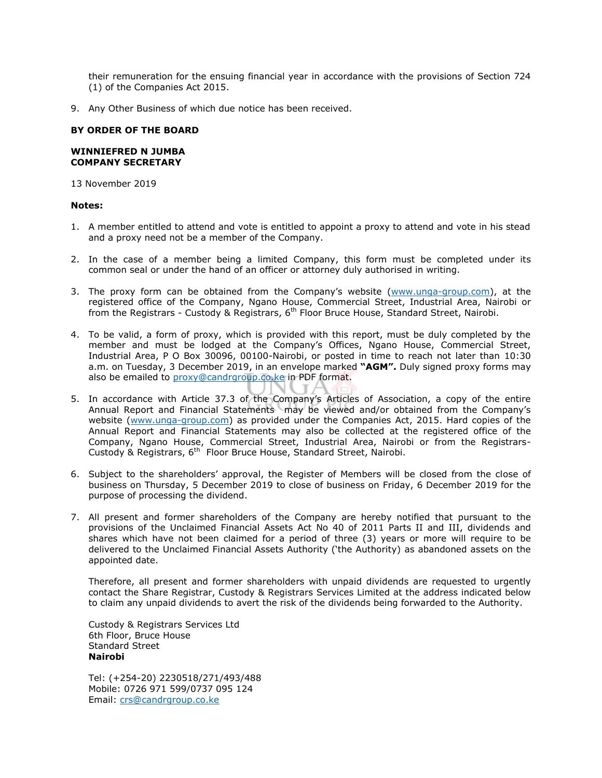their remuneration for the ensuing financial year in accordance with the provisions of Section 724 (1) of the Companies Act 2015.

9. Any Other Business of which due notice has been received.

# **BY ORDER OF THE BOARD**

# **WINNIEFRED N JUMBA COMPANY SECRETARY**

13 November 2019

### **Notes:**

- 1. A member entitled to attend and vote is entitled to appoint a proxy to attend and vote in his stead and a proxy need not be a member of the Company.
- 2. In the case of a member being a limited Company, this form must be completed under its common seal or under the hand of an officer or attorney duly authorised in writing.
- 3. The proxy form can be obtained from the Company's website ([www.unga-group.com\)](http://www.unga-group.com/), at the registered office of the Company, Ngano House, Commercial Street, Industrial Area, Nairobi or from the Registrars - Custody & Registrars, 6<sup>th</sup> Floor Bruce House, Standard Street, Nairobi.
- 4. To be valid, a form of proxy, which is provided with this report, must be duly completed by the member and must be lodged at the Company's Offices, Ngano House, Commercial Street, Industrial Area, P O Box 30096, 00100-Nairobi, or posted in time to reach not later than 10:30 a.m. on Tuesday, 3 December 2019, in an envelope marked **"AGM".** Duly signed proxy forms may also be emailed to [proxy@candrgroup.co.ke](mailto:proxy@candrgroup.co.ke) in PDF format.
- 5. In accordance with Article 37.3 of the Company's Articles of Association, a copy of the entire Annual Report and Financial Statements may be viewed and/or obtained from the Company's website [\(www.unga-group.com\)](http://www.unga-group.com/) as provided under the Companies Act, 2015. Hard copies of the Annual Report and Financial Statements may also be collected at the registered office of the Company, Ngano House, Commercial Street, Industrial Area, Nairobi or from the Registrars-Custody & Registrars, 6<sup>th</sup> Floor Bruce House, Standard Street, Nairobi.
- 6. Subject to the shareholders' approval, the Register of Members will be closed from the close of business on Thursday, 5 December 2019 to close of business on Friday, 6 December 2019 for the purpose of processing the dividend.
- 7. All present and former shareholders of the Company are hereby notified that pursuant to the provisions of the Unclaimed Financial Assets Act No 40 of 2011 Parts II and III, dividends and shares which have not been claimed for a period of three (3) years or more will require to be delivered to the Unclaimed Financial Assets Authority ('the Authority) as abandoned assets on the appointed date.

Therefore, all present and former shareholders with unpaid dividends are requested to urgently contact the Share Registrar, Custody & Registrars Services Limited at the address indicated below to claim any unpaid dividends to avert the risk of the dividends being forwarded to the Authority.

Custody & Registrars Services Ltd 6th Floor, Bruce House Standard Street **Nairobi**

Tel: (+254-20) 2230518/271/493/488 Mobile: 0726 971 599/0737 095 124 Email: [crs@candrgroup.co.ke](mailto:crs@candrgroup.co.ke)